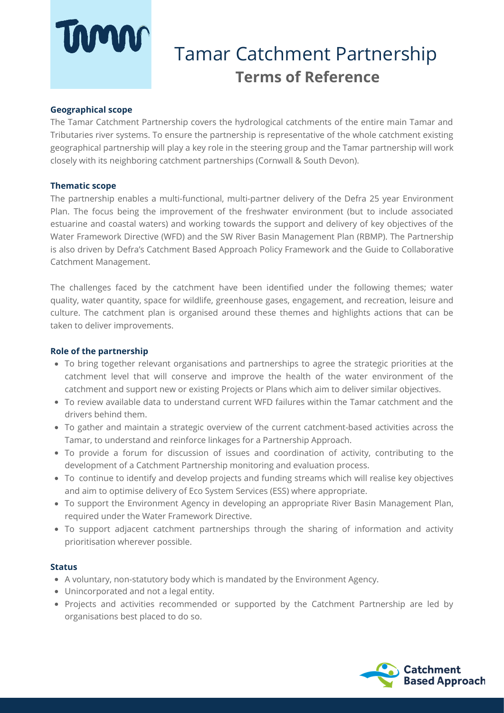# **UNAN**

## Tamar Catchment Partnership **Terms of Reference**

#### **Geographical scope**

The Tamar Catchment Partnership covers the hydrological catchments of the entire main Tamar and Tributaries river systems. To ensure the partnership is representative of the whole catchment existing geographical partnership will play a key role in the steering group and the Tamar partnership will work closely with its neighboring catchment partnerships (Cornwall & South Devon).

#### **Thematic scope**

The partnership enables a multi-functional, multi-partner delivery of the Defra 25 year Environment Plan. The focus being the improvement of the freshwater environment (but to include associated estuarine and coastal waters) and working towards the support and delivery of key objectives of the Water Framework Directive (WFD) and the SW River Basin Management Plan (RBMP). The Partnership is also driven by Defra's Catchment Based Approach Policy Framework and the Guide to Collaborative Catchment Management.

The challenges faced by the catchment have been identified under the following themes; water quality, water quantity, space for wildlife, greenhouse gases, engagement, and recreation, leisure and culture. The catchment plan is organised around these themes and highlights actions that can be taken to deliver improvements.

#### **Role of the partnership**

- To bring together relevant organisations and partnerships to agree the strategic priorities at the catchment level that will conserve and improve the health of the water environment of the catchment and support new or existing Projects or Plans which aim to deliver similar objectives.
- To review available data to understand current WFD failures within the Tamar catchment and the drivers behind them.
- To gather and maintain a strategic overview of the current catchment-based activities across the Tamar, to understand and reinforce linkages for a Partnership Approach.
- To provide a forum for discussion of issues and coordination of activity, contributing to the development of a Catchment Partnership monitoring and evaluation process.
- To continue to identify and develop projects and funding streams which will realise key objectives and aim to optimise delivery of Eco System Services (ESS) where appropriate.
- To support the Environment Agency in developing an appropriate River Basin Management Plan, required under the Water Framework Directive.
- To support adjacent catchment partnerships through the sharing of information and activity prioritisation wherever possible.

#### **Status**

- A voluntary, non-statutory body which is mandated by the Environment Agency.
- Unincorporated and not a legal entity.
- Projects and activities recommended or supported by the Catchment Partnership are led by organisations best placed to do so.

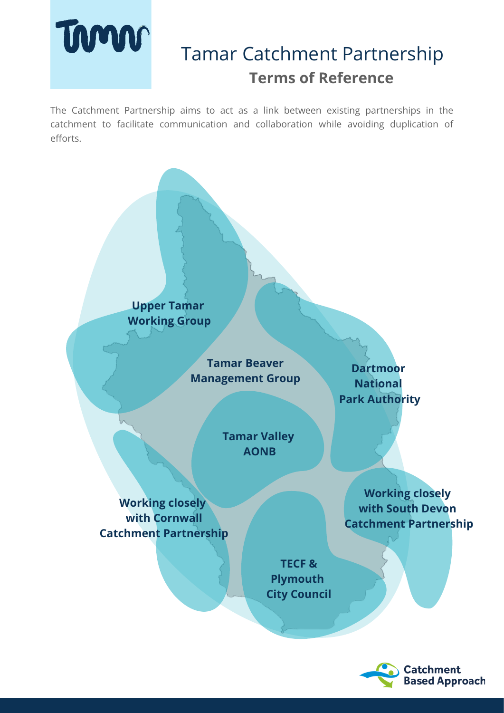# Timo

## Tamar Catchment Partnership **Terms of Reference**

The Catchment Partnership aims to act as a link between existing partnerships in the catchment to facilitate communication and collaboration while avoiding duplication of efforts.

> **Upper Tamar Working Group**

> > **Tamar Beaver Management Group**

**Dartmoor National Park Authority**

**Tamar Valley AONB**

**Working closely with Cornwall Catchment Partnership**

**Working closely with South Devon Catchment Partnership**

**TECF & Plymouth City Council**